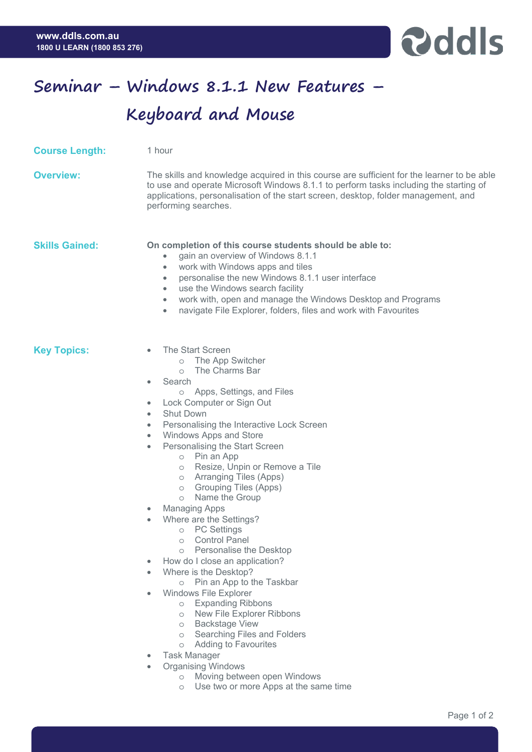

## **Seminar – Windows 8.1.1 New Features – Keyboard and Mouse**

| <b>Course Length:</b> | 1 hour                                                                                                                                                                                                                                                                                                                                                                                                                                                                                                                                                                                                                                                                                                                                                                                                                                                                                                                                                                                                                                       |
|-----------------------|----------------------------------------------------------------------------------------------------------------------------------------------------------------------------------------------------------------------------------------------------------------------------------------------------------------------------------------------------------------------------------------------------------------------------------------------------------------------------------------------------------------------------------------------------------------------------------------------------------------------------------------------------------------------------------------------------------------------------------------------------------------------------------------------------------------------------------------------------------------------------------------------------------------------------------------------------------------------------------------------------------------------------------------------|
| <b>Overview:</b>      | The skills and knowledge acquired in this course are sufficient for the learner to be able<br>to use and operate Microsoft Windows 8.1.1 to perform tasks including the starting of<br>applications, personalisation of the start screen, desktop, folder management, and<br>performing searches.                                                                                                                                                                                                                                                                                                                                                                                                                                                                                                                                                                                                                                                                                                                                            |
| <b>Skills Gained:</b> | On completion of this course students should be able to:<br>gain an overview of Windows 8.1.1<br>work with Windows apps and tiles<br>$\bullet$<br>personalise the new Windows 8.1.1 user interface<br>$\bullet$<br>use the Windows search facility<br>$\bullet$<br>work with, open and manage the Windows Desktop and Programs<br>$\bullet$<br>navigate File Explorer, folders, files and work with Favourites<br>$\bullet$                                                                                                                                                                                                                                                                                                                                                                                                                                                                                                                                                                                                                  |
| <b>Key Topics:</b>    | The Start Screen<br>o The App Switcher<br>The Charms Bar<br>$\circ$<br>Search<br>٠<br>o Apps, Settings, and Files<br>Lock Computer or Sign Out<br>$\bullet$<br><b>Shut Down</b><br>٠<br>Personalising the Interactive Lock Screen<br>$\bullet$<br>Windows Apps and Store<br>$\bullet$<br>Personalising the Start Screen<br>$\bullet$<br>o Pin an App<br>o Resize, Unpin or Remove a Tile<br>o Arranging Tiles (Apps)<br>Grouping Tiles (Apps)<br>$\circ$<br>Name the Group<br>$\circ$<br><b>Managing Apps</b><br>۰<br>Where are the Settings?<br>۰<br><b>PC Settings</b><br>$\circ$<br><b>Control Panel</b><br>$\circ$<br>Personalise the Desktop<br>$\circ$<br>How do I close an application?<br>Where is the Desktop?<br>Pin an App to the Taskbar<br>$\circ$<br>Windows File Explorer<br><b>Expanding Ribbons</b><br>$\circ$<br>New File Explorer Ribbons<br>$\circ$<br><b>Backstage View</b><br>$\circ$<br>Searching Files and Folders<br>$\circ$<br>Adding to Favourites<br>$\circ$<br><b>Task Manager</b><br><b>Organising Windows</b> |

- o Moving between open Windows
- o Use two or more Apps at the same time